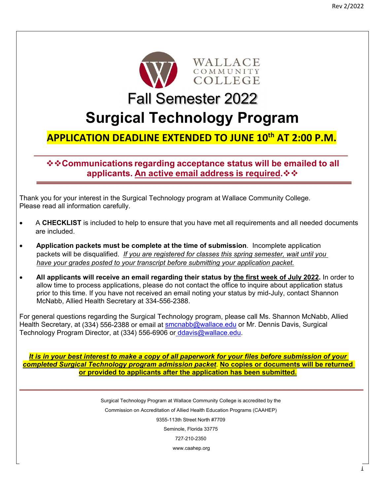

Fall Semester 2022

# **Surgical Technology Program**

## **APPLICATION DEADLINE EXTENDED TO JUNE 10th AT 2:00 P.M.**

**Communications regarding acceptance status will be emailed to all applicants. An active email address is required.**

Thank you for your interest in the Surgical Technology program at Wallace Community College. Please read all information carefully.

- A **CHECKLIST** is included to help to ensure that you have met all requirements and all needed documents are included.
- **Application packets must be complete at the time of submission**. Incomplete application packets will be disqualified. *If you are registered for classes this spring semester, wait until you have your grades posted to your transcript before submitting your application packet.*
- **All applicants will receive an email regarding their status by the first week of July 2022.** In order to allow time to process applications, please do not contact the office to inquire about application status prior to this time. If you have not received an email noting your status by mid-July, contact Shannon McNabb, Allied Health Secretary at 334-556-2388.

For general questions regarding the Surgical Technology program, please call Ms. Shannon McNabb, Allied Health Secretary, at (334) 556-2388 or email at smcnabb@wallace.edu or Mr. Dennis Davis, Surgical Technology Program Director, at (334) 556-6906 or ddavis@wallace.edu.

*It is in your best interest to make a copy of all paperwork for your files before submission of your completed Surgical Technology program admission packet*. **No copies or documents will be returned or provided to applicants after the application has been submitted.** 

> Surgical Technology Program at Wallace Community College is accredited by the Commission on Accreditation of Allied Health Education Programs (CAAHEP) 9355-113th Street North #7709 Seminole, Florida 33775 727-210-2350 www.caahep.org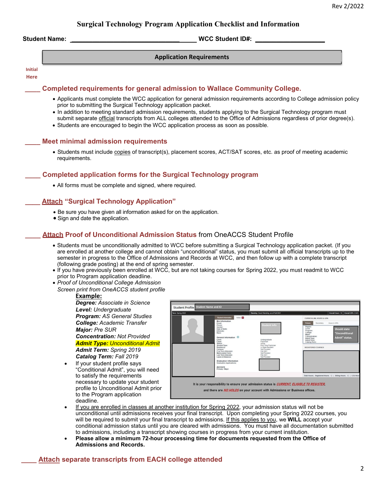## **Surgical Technology Program Application Checklist and Information**

**Student Name: \_\_\_\_\_\_\_\_\_\_\_\_\_\_\_\_\_\_\_\_\_\_\_\_\_\_\_\_\_\_\_ WCC Student ID#: \_\_\_\_\_\_\_\_\_\_\_\_\_\_\_\_\_\_\_\_** 

#### **Application Requirements**

#### **Initial**

#### **Here**

#### **\_\_\_\_ Completed requirements for general admission to Wallace Community College.**

- Applicants must complete the WCC application for general admission requirements according to College admission policy prior to submitting the Surgical Technology application packet.
- . In addition to meeting standard admission requirements, students applying to the Surgical Technology program must submit separate official transcripts from ALL colleges attended to the Office of Admissions regardless of prior degree(s).
- Students are encouraged to begin the WCC application process as soon as possible.

#### **\_\_\_\_ Meet minimal admission requirements**

 Students must include copies of transcript(s), placement scores, ACT/SAT scores, etc. as proof of meeting academic requirements.

#### **\_\_\_\_ Completed application forms for the Surgical Technology program**

All forms must be complete and signed, where required.

#### **\_\_\_\_ Attach "Surgical Technology Application"**

- Be sure you have given all information asked for on the application.
- Sign and date the application.

#### **\_\_\_\_ Attach Proof of Unconditional Admission Status** from OneACCS Student Profile

- Students must be unconditionally admitted to WCC before submitting a Surgical Technology application packet. (If you are enrolled at another college and cannot obtain "unconditional" status, you must submit all official transcripts up to the semester in progress to the Office of Admissions and Records at WCC, and then follow up with a complete transcript (following grade posting) at the end of spring semester.
- If you have previously been enrolled at WCC, but are not taking courses for Spring 2022, you must readmit to WCC prior to Program application deadline.
- *Proof of Unconditional College Admission* 
	- *Screen print from OneACCS student profile*

#### **Example:**

*Degree: Associate in Science Level: Undergraduate Program: AS General Studies College: Academic Transfer Major: Pre SUR Concentration: Not Provided Admit Type: Unconditional Admit Admit Term: Spring 2019 Catalog Term: Fall 2019* 

 If your student profile says "Conditional Admit", you will need to satisfy the requirements necessary to update your student profile to Unconditional Admit prior to the Program application deadline.



- If you are enrolled in classes at another institution for Spring 2022, your admission status will not be unconditional until admissions receives your final transcript. Upon completing your Spring 2022 courses, you will be required to submit your final transcript to admissions. If this applies to you, we **WILL** accept your conditional admission status until you are cleared with admissions. You must have all documentation submitted to admissions, including a transcript showing courses in progress from your current institution.
- **Please allow a minimum 72-hour processing time for documents requested from the Office of Admissions and Records.**

#### **Attach separate transcripts from EACH college attended**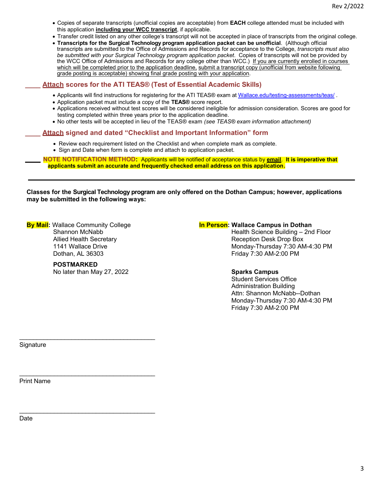- Copies of separate transcripts (unofficial copies are acceptable) from **EACH** college attended must be included with this application **including your WCC transcript**, if applicable.
- Transfer credit listed on any other college's transcript will not be accepted in place of transcripts from the original college.
- **Transcripts for the Surgical Technology program application packet can be unofficial**. (Although official transcripts are submitted to the Office of Admissions and Records for acceptance to the College, *transcripts must also be submitted with your Surgical Technology program application packet*. Copies of transcripts will not be provided by the WCC Office of Admissions and Records for any college other than WCC.) If you are currently enrolled in courses which will be completed prior to the application deadline, submit a transcript copy (unofficial from website following grade posting is acceptable) showing final grade posting with your application.

## **\_\_\_\_ Attach scores for the ATI TEAS® (Test of Essential Academic Skills)**

- Applicants will find instructions for registering for the ATI TEAS® exam at Wallace.edu/testing-assessments/teas/.
- Application packet must include a copy of the **TEAS®** score report.
- Applications received without test scores will be considered ineligible for admission consideration. Scores are good for testing completed within three years prior to the application deadline.
- No other tests will be accepted in lieu of the TEAS® exam *(see TEAS® exam information attachment)*

## **\_\_\_\_ Attach signed and dated "Checklist and Important Information" form**

- Review each requirement listed on the Checklist and when complete mark as complete.
- Sign and Date when form is complete and attach to application packet.

**\_\_\_\_ NOTE NOTIFICATION METHOD:** Applicants will be notified of acceptance status by **email**. **It is imperative that applicants submit an accurate and frequently checked email address on this application.** 

**Classes for the Surgical Technology program are only offered on the Dothan Campus; however, applications may be submitted in the following ways:** 

**By Mail:** Wallace Community College Shannon McNabb Allied Health Secretary 1141 Wallace Drive Dothan, AL 36303

#### **POSTMARKED** No later than May 27, 2022

\_\_\_\_\_\_\_\_\_\_\_\_\_\_\_\_\_\_\_\_\_\_\_\_\_\_\_\_\_\_\_\_\_\_\_\_\_\_\_

## **In Person: Wallace Campus in Dothan**

 Health Science Building – 2nd Floor Reception Desk Drop Box Monday-Thursday 7:30 AM-4:30 PM Friday 7:30 AM-2:00 PM

## **Sparks Campus**

 Student Services Office Administration Building Attn: Shannon McNabb--Dothan Monday-Thursday 7:30 AM-4:30 PM Friday 7:30 AM-2:00 PM

**Signature** 

Print Name

Date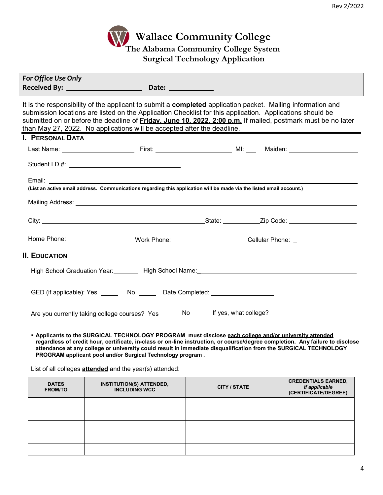

| For Office Use Only                                                                                                                                                                                                                                                                                                                                                                                                                                          |  |  |  |  |  |
|--------------------------------------------------------------------------------------------------------------------------------------------------------------------------------------------------------------------------------------------------------------------------------------------------------------------------------------------------------------------------------------------------------------------------------------------------------------|--|--|--|--|--|
| It is the responsibility of the applicant to submit a <b>completed</b> application packet. Mailing information and<br>submission locations are listed on the Application Checklist for this application. Applications should be<br>submitted on or before the deadline of <b>Friday. June 10. 2022. 2:00 p.m.</b> If mailed, postmark must be no later<br>than May 27, 2022. No applications will be accepted after the deadline.<br><b>I. PERSONAL DATA</b> |  |  |  |  |  |
|                                                                                                                                                                                                                                                                                                                                                                                                                                                              |  |  |  |  |  |
|                                                                                                                                                                                                                                                                                                                                                                                                                                                              |  |  |  |  |  |
| (List an active email address. Communications regarding this application will be made via the listed email account.)                                                                                                                                                                                                                                                                                                                                         |  |  |  |  |  |
|                                                                                                                                                                                                                                                                                                                                                                                                                                                              |  |  |  |  |  |
|                                                                                                                                                                                                                                                                                                                                                                                                                                                              |  |  |  |  |  |
| <b>II. EDUCATION</b>                                                                                                                                                                                                                                                                                                                                                                                                                                         |  |  |  |  |  |
| High School Graduation Year: Nigh School Name: Name: Nigh School Name: Nigh School Graduation Year: Night School Name: Night School Assembly Name: Night School Assembly Name: Night School Assembly Name: Night School Assemb                                                                                                                                                                                                                               |  |  |  |  |  |
| GED (if applicable): Yes _______ No ______ Date Completed: _____________________                                                                                                                                                                                                                                                                                                                                                                             |  |  |  |  |  |
| Are you currently taking college courses? Yes ______ No _____ If yes, what college?_______________                                                                                                                                                                                                                                                                                                                                                           |  |  |  |  |  |

 **Applicants to the SURGICAL TECHNOLOGY PROGRAM must disclose each college and/or university attended regardless of credit hour, certificate, in-class or on-line instruction, or course/degree completion. Any failure to disclose attendance at any college or university could result in immediate disqualification from the SURGICAL TECHNOLOGY PROGRAM applicant pool and/or Surgical Technology program .**

List of all colleges **attended** and the year(s) attended:

| <b>DATES</b><br><b>FROM/TO</b> | <b>INSTITUTION(S) ATTENDED,</b><br><b>INCLUDING WCC</b> | <b>CITY / STATE</b> | <b>CREDENTIALS EARNED,</b><br>if applicable<br>(CERTIFICATE/DEGREE) |
|--------------------------------|---------------------------------------------------------|---------------------|---------------------------------------------------------------------|
|                                |                                                         |                     |                                                                     |
|                                |                                                         |                     |                                                                     |
|                                |                                                         |                     |                                                                     |
|                                |                                                         |                     |                                                                     |
|                                |                                                         |                     |                                                                     |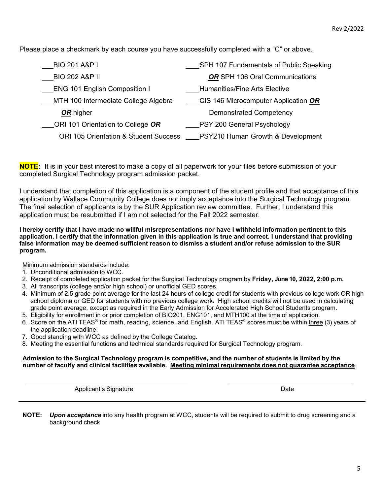Please place a checkmark by each course you have successfully completed with a "C" or above.

| <b>BIO 201 A&amp;P I</b>                         | SPH 107 Fundamentals of Public Speaking |
|--------------------------------------------------|-----------------------------------------|
| <b>BIO 202 A&amp;P II</b>                        | OR SPH 106 Oral Communications          |
| <b>ENG 101 English Composition I</b>             | <b>Humanities/Fine Arts Elective</b>    |
| __MTH 100 Intermediate College Algebra           | CIS 146 Microcomputer Application OR    |
| OR higher                                        | <b>Demonstrated Competency</b>          |
| ORI 101 Orientation to College OR                | PSY 200 General Psychology              |
| <b>ORI 105 Orientation &amp; Student Success</b> | PSY210 Human Growth & Development       |

**NOTE:** It is in your best interest to make a copy of all paperwork for your files before submission of your completed Surgical Technology program admission packet.

I understand that completion of this application is a component of the student profile and that acceptance of this application by Wallace Community College does not imply acceptance into the Surgical Technology program. The final selection of applicants is by the SUR Application review committee. Further, I understand this application must be resubmitted if I am not selected for the Fall 2022 semester.

**I hereby certify that I have made no willful misrepresentations nor have I withheld information pertinent to this application. I certify that the information given in this application is true and correct. I understand that providing false information may be deemed sufficient reason to dismiss a student and/or refuse admission to the SUR program.** 

Minimum admission standards include:

- 1. Unconditional admission to WCC.
- 2. Receipt of completed application packet for the Surgical Technology program by **Friday, June 10, 2022, 2:00 p.m.**
- 3. All transcripts (college and/or high school) or unofficial GED scores.
- 4. Minimum of 2.5 grade point average for the last 24 hours of college credit for students with previous college work OR high school diploma or GED for students with no previous college work. High school credits will not be used in calculating grade point average, except as required in the Early Admission for Accelerated High School Students program.
- 5. Eligibility for enrollment in or prior completion of BIO201, ENG101, and MTH100 at the time of application.
- 6. Score on the ATI TEAS® for math, reading, science, and English. ATI TEAS® scores must be within three (3) years of the application deadline.
- 7. Good standing with WCC as defined by the College Catalog.
- 8. Meeting the essential functions and technical standards required for Surgical Technology program.

#### **Admission to the Surgical Technology program is competitive, and the number of students is limited by the number of faculty and clinical facilities available. Meeting minimal requirements does not guarantee acceptance**.

Applicant's Signature Date

**NOTE:** *Upon acceptance* into any health program at WCC, students will be required to submit to drug screening and a background check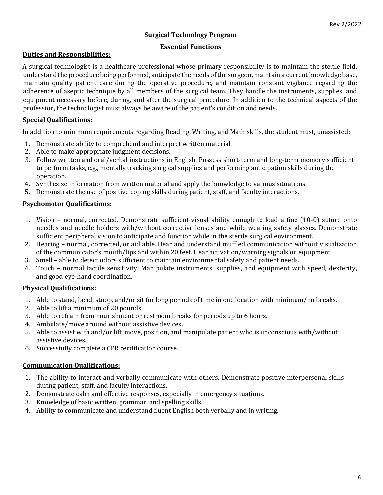## **Surgical Technology Program**

## **Essential Functions**

## **Duties and Responsibilities:**

A surgical technologist is a healthcare professional whose primary responsibility is to maintain the sterile field, understand the procedure being performed, anticipate the needs of the surgeon, maintain a current knowledge base, maintain quality patient care during the operative procedure, and maintain constant vigilance regarding the adherence of aseptic technique by all members of the surgical team. They handle the instruments, supplies, and equipment necessary before, during, and after the surgical procedure. In addition to the technical aspects of the profession, the technologist must always be aware of the patient's condition and needs.

## **Special Qualifications:**

In addition to minimum requirements regarding Reading, Writing, and Math skills, the student must, unassisted:

- 1. Demonstrate ability to comprehend and interpret written material.
- 2. Able to make appropriate judgment decisions.
- 3. Follow written and oral/verbal instructions in English. Possess short-term and long-term memory sufficient to perform tasks, e.g., mentally tracking surgical supplies and performing anticipation skills during the operation.
- 4. Synthesize information from written material and apply the knowledge to various situations.
- 5. Demonstrate the use of positive coping skills during patient, staff, and faculty interactions.

## **Psychomotor Qualifications:**

- 1. Vision normal, corrected. Demonstrate sufficient visual ability enough to load a fine (10-0) suture onto needles and needle holders with/without corrective lenses and while wearing safety glasses. Demonstrate sufficient peripheral vision to anticipate and function while in the sterile surgical environment.
- 2. Hearing normal, corrected, or aid able. Hear and understand muffled communication without visualization of the communicator's mouth/lips and within 20 feet. Hear activation/warning signals on equipment.
- 3. Smell able to detect odors sufficient to maintain environmental safety and patient needs.
- 4. Touch normal tactile sensitivity. Manipulate instruments, supplies, and equipment with speed, dexterity, and good eye-hand coordination.

## **Physical Qualifications:**

- 1. Able to stand, bend, stoop, and/or sit for long periods of time in one location with minimum/no breaks.
- 2. Able to lift a minimum of 20 pounds.
- 3. Able to refrain from nourishment or restroom breaks for periods up to 6 hours.
- 4. Ambulate/move around without assistive devices.
- 5. Able to assist with and/or lift, move, position, and manipulate patient who is unconscious with/without assistive devices.
- 6. Successfully complete a CPR certification course.

## **Communication Qualifications:**

- 1. The ability to interact and verbally communicate with others. Demonstrate positive interpersonal skills during patient, staff, and faculty interactions.
- 2. Demonstrate calm and effective responses, especially in emergency situations.
- 3. Knowledge of basic written, grammar, and spelling skills.
- 4. Ability to communicate and understand fluent English both verbally and in writing.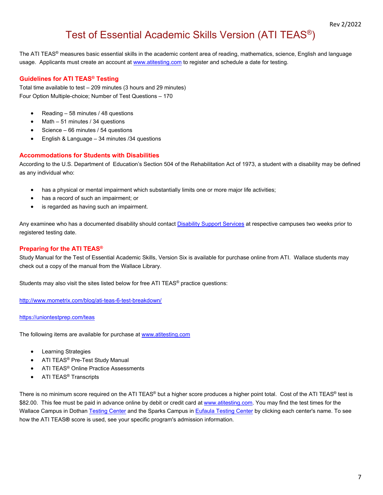## Test of Essential Academic Skills Version (ATI TEAS®)

The ATI TEAS<sup>®</sup> measures basic essential skills in the academic content area of reading, mathematics, science, English and language usage. Applicants must create an account at www.atitesting.com to register and schedule a date for testing.

## **Guidelines for ATI TEAS® Testing**

Total time available to test – 209 minutes (3 hours and 29 minutes) Four Option Multiple-choice; Number of Test Questions – 170

- Reading  $-58$  minutes / 48 questions
- Math 51 minutes / 34 questions
- Science 66 minutes / 54 questions
- English & Language 34 minutes /34 questions

#### **Accommodations for Students with Disabilities**

According to the U.S. Department of Education's Section 504 of the Rehabilitation Act of 1973, a student with a disability may be defined as any individual who:

- has a physical or mental impairment which substantially limits one or more major life activities;
- has a record of such an impairment: or
- is regarded as having such an impairment.

Any examinee who has a documented disability should contact Disability Support Services at respective campuses two weeks prior to registered testing date.

#### **Preparing for the ATI TEAS®**

Study Manual for the Test of Essential Academic Skills, Version Six is available for purchase online from ATI. Wallace students may check out a copy of the manual from the Wallace Library.

Students may also visit the sites listed below for free ATI TEAS® practice questions:

http://www.mometrix.com/blog/ati-teas-6-test-breakdown/

#### https://uniontestprep.com/teas

The following items are available for purchase at www.atitesting.com

- Learning Strategies
- ATI TEAS<sup>®</sup> Pre-Test Study Manual
- ATI TEAS<sup>®</sup> Online Practice Assessments
- **•** ATI TEAS<sup>®</sup> Transcripts

There is no minimum score required on the ATI TEAS<sup>®</sup> but a higher score produces a higher point total. Cost of the ATI TEAS<sup>®</sup> test is \$82.00. This fee must be paid in advance online by debit or credit card at www.atitesting.com. You may find the test times for the Wallace Campus in Dothan Testing Center and the Sparks Campus in Eufaula Testing Center by clicking each center's name. To see how the ATI TEAS**®** score is used, see your specific program's admission information.